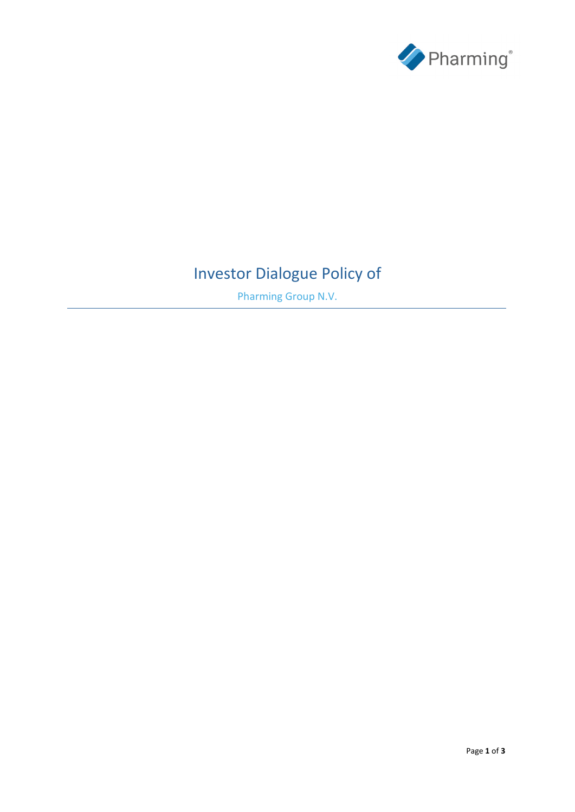

# Investor Dialogue Policy of

Pharming Group N.V.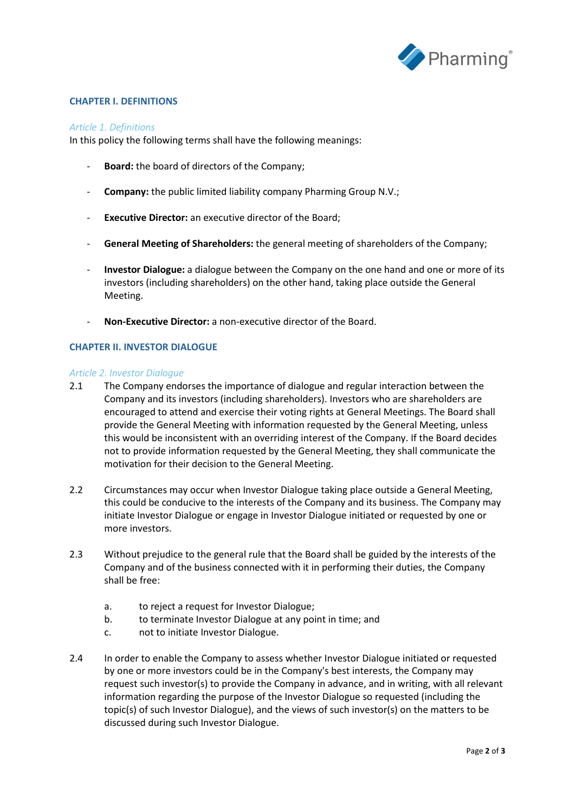

## **CHAPTER I. DEFINITIONS**

#### *Article 1. Definitions*

In this policy the following terms shall have the following meanings:

- **Board:** the board of directors of the Company;
- **Company:** the public limited liability company Pharming Group N.V.;
- **Executive Director:** an executive director of the Board;
- **General Meeting of Shareholders:** the general meeting of shareholders of the Company;
- **Investor Dialogue:** a dialogue between the Company on the one hand and one or more of its investors (including shareholders) on the other hand, taking place outside the General Meeting.
- **Non-Executive Director:** a non-executive director of the Board.

## **CHAPTER II. INVESTOR DIALOGUE**

#### *Article 2. Investor Dialogue*

- 2.1 The Company endorses the importance of dialogue and regular interaction between the Company and its investors (including shareholders). Investors who are shareholders are encouraged to attend and exercise their voting rights at General Meetings. The Board shall provide the General Meeting with information requested by the General Meeting, unless this would be inconsistent with an overriding interest of the Company. If the Board decides not to provide information requested by the General Meeting, they shall communicate the motivation for their decision to the General Meeting.
- 2.2 Circumstances may occur when Investor Dialogue taking place outside a General Meeting, this could be conducive to the interests of the Company and its business. The Company may initiate Investor Dialogue or engage in Investor Dialogue initiated or requested by one or more investors.
- 2.3 Without prejudice to the general rule that the Board shall be guided by the interests of the Company and of the business connected with it in performing their duties, the Company shall be free:
	- a. to reject a request for Investor Dialogue;
	- b. to terminate Investor Dialogue at any point in time; and
	- c. not to initiate Investor Dialogue.
- 2.4 In order to enable the Company to assess whether Investor Dialogue initiated or requested by one or more investors could be in the Company's best interests, the Company may request such investor(s) to provide the Company in advance, and in writing, with all relevant information regarding the purpose of the Investor Dialogue so requested (including the topic(s) of such Investor Dialogue), and the views of such investor(s) on the matters to be discussed during such Investor Dialogue.